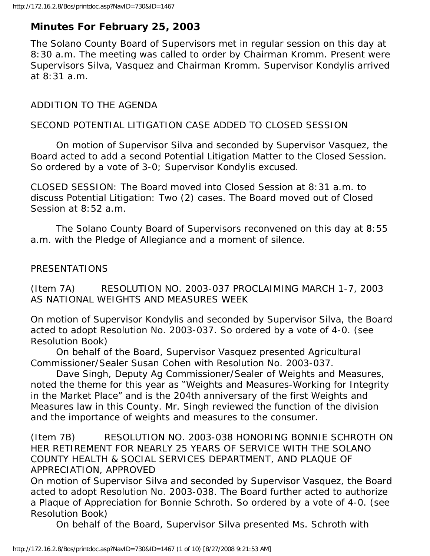# **Minutes For February 25, 2003**

The Solano County Board of Supervisors met in regular session on this day at 8:30 a.m. The meeting was called to order by Chairman Kromm. Present were Supervisors Silva, Vasquez and Chairman Kromm. Supervisor Kondylis arrived at 8:31 a.m.

## ADDITION TO THE AGENDA

### SECOND POTENTIAL LITIGATION CASE ADDED TO CLOSED SESSION

 On motion of Supervisor Silva and seconded by Supervisor Vasquez, the Board acted to add a second Potential Litigation Matter to the Closed Session. So ordered by a vote of 3-0; Supervisor Kondylis excused.

CLOSED SESSION: The Board moved into Closed Session at 8:31 a.m. to discuss Potential Litigation: Two (2) cases. The Board moved out of Closed Session at 8:52 a.m.

 The Solano County Board of Supervisors reconvened on this day at 8:55 a.m. with the Pledge of Allegiance and a moment of silence.

### PRESENTATIONS

(Item 7A) RESOLUTION NO. 2003-037 PROCLAIMING MARCH 1-7, 2003 AS NATIONAL WEIGHTS AND MEASURES WEEK

On motion of Supervisor Kondylis and seconded by Supervisor Silva, the Board acted to adopt Resolution No. 2003-037. So ordered by a vote of 4-0. (see Resolution Book)

 On behalf of the Board, Supervisor Vasquez presented Agricultural Commissioner/Sealer Susan Cohen with Resolution No. 2003-037.

 Dave Singh, Deputy Ag Commissioner/Sealer of Weights and Measures, noted the theme for this year as "Weights and Measures-Working for Integrity in the Market Place" and is the 204th anniversary of the first Weights and Measures law in this County. Mr. Singh reviewed the function of the division and the importance of weights and measures to the consumer.

(Item 7B) RESOLUTION NO. 2003-038 HONORING BONNIE SCHROTH ON HER RETIREMENT FOR NEARLY 25 YEARS OF SERVICE WITH THE SOLANO COUNTY HEALTH & SOCIAL SERVICES DEPARTMENT, AND PLAQUE OF APPRECIATION, APPROVED

On motion of Supervisor Silva and seconded by Supervisor Vasquez, the Board acted to adopt Resolution No. 2003-038. The Board further acted to authorize a Plaque of Appreciation for Bonnie Schroth. So ordered by a vote of 4-0. (see Resolution Book)

On behalf of the Board, Supervisor Silva presented Ms. Schroth with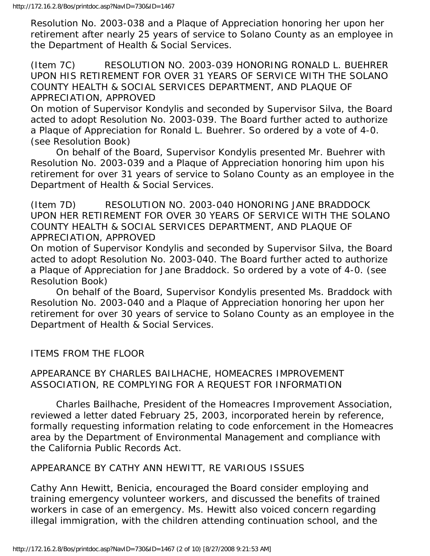Resolution No. 2003-038 and a Plaque of Appreciation honoring her upon her retirement after nearly 25 years of service to Solano County as an employee in the Department of Health & Social Services.

(Item 7C) RESOLUTION NO. 2003-039 HONORING RONALD L. BUEHRER UPON HIS RETIREMENT FOR OVER 31 YEARS OF SERVICE WITH THE SOLANO COUNTY HEALTH & SOCIAL SERVICES DEPARTMENT, AND PLAQUE OF APPRECIATION, APPROVED

On motion of Supervisor Kondylis and seconded by Supervisor Silva, the Board acted to adopt Resolution No. 2003-039. The Board further acted to authorize a Plaque of Appreciation for Ronald L. Buehrer. So ordered by a vote of 4-0. (see Resolution Book)

 On behalf of the Board, Supervisor Kondylis presented Mr. Buehrer with Resolution No. 2003-039 and a Plaque of Appreciation honoring him upon his retirement for over 31 years of service to Solano County as an employee in the Department of Health & Social Services.

(Item 7D) RESOLUTION NO. 2003-040 HONORING JANE BRADDOCK UPON HER RETIREMENT FOR OVER 30 YEARS OF SERVICE WITH THE SOLANO COUNTY HEALTH & SOCIAL SERVICES DEPARTMENT, AND PLAQUE OF APPRECIATION, APPROVED

On motion of Supervisor Kondylis and seconded by Supervisor Silva, the Board acted to adopt Resolution No. 2003-040. The Board further acted to authorize a Plaque of Appreciation for Jane Braddock. So ordered by a vote of 4-0. (see Resolution Book)

 On behalf of the Board, Supervisor Kondylis presented Ms. Braddock with Resolution No. 2003-040 and a Plaque of Appreciation honoring her upon her retirement for over 30 years of service to Solano County as an employee in the Department of Health & Social Services.

ITEMS FROM THE FLOOR

### APPEARANCE BY CHARLES BAILHACHE, HOMEACRES IMPROVEMENT ASSOCIATION, RE COMPLYING FOR A REQUEST FOR INFORMATION

 Charles Bailhache, President of the Homeacres Improvement Association, reviewed a letter dated February 25, 2003, incorporated herein by reference, formally requesting information relating to code enforcement in the Homeacres area by the Department of Environmental Management and compliance with the California Public Records Act.

# APPEARANCE BY CATHY ANN HEWITT, RE VARIOUS ISSUES

Cathy Ann Hewitt, Benicia, encouraged the Board consider employing and training emergency volunteer workers, and discussed the benefits of trained workers in case of an emergency. Ms. Hewitt also voiced concern regarding illegal immigration, with the children attending continuation school, and the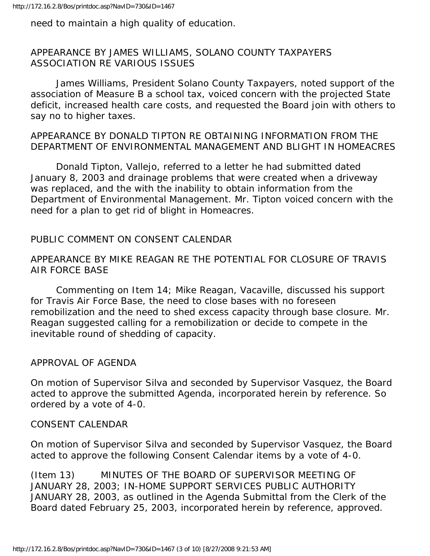need to maintain a high quality of education.

## APPEARANCE BY JAMES WILLIAMS, SOLANO COUNTY TAXPAYERS ASSOCIATION RE VARIOUS ISSUES

 James Williams, President Solano County Taxpayers, noted support of the association of Measure B a school tax, voiced concern with the projected State deficit, increased health care costs, and requested the Board join with others to say no to higher taxes.

## APPEARANCE BY DONALD TIPTON RE OBTAINING INFORMATION FROM THE DEPARTMENT OF ENVIRONMENTAL MANAGEMENT AND BLIGHT IN HOMEACRES

 Donald Tipton, Vallejo, referred to a letter he had submitted dated January 8, 2003 and drainage problems that were created when a driveway was replaced, and the with the inability to obtain information from the Department of Environmental Management. Mr. Tipton voiced concern with the need for a plan to get rid of blight in Homeacres.

# PUBLIC COMMENT ON CONSENT CALENDAR

## APPEARANCE BY MIKE REAGAN RE THE POTENTIAL FOR CLOSURE OF TRAVIS AIR FORCE BASE

 Commenting on Item 14; Mike Reagan, Vacaville, discussed his support for Travis Air Force Base, the need to close bases with no foreseen remobilization and the need to shed excess capacity through base closure. Mr. Reagan suggested calling for a remobilization or decide to compete in the inevitable round of shedding of capacity.

### APPROVAL OF AGENDA

On motion of Supervisor Silva and seconded by Supervisor Vasquez, the Board acted to approve the submitted Agenda, incorporated herein by reference. So ordered by a vote of 4-0.

### CONSENT CALENDAR

On motion of Supervisor Silva and seconded by Supervisor Vasquez, the Board acted to approve the following Consent Calendar items by a vote of 4-0.

(Item 13) MINUTES OF THE BOARD OF SUPERVISOR MEETING OF JANUARY 28, 2003; IN-HOME SUPPORT SERVICES PUBLIC AUTHORITY JANUARY 28, 2003, as outlined in the Agenda Submittal from the Clerk of the Board dated February 25, 2003, incorporated herein by reference, approved.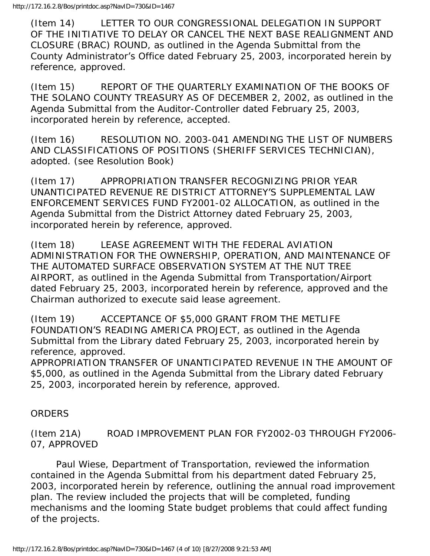(Item 14) LETTER TO OUR CONGRESSIONAL DELEGATION IN SUPPORT OF THE INITIATIVE TO DELAY OR CANCEL THE NEXT BASE REALIGNMENT AND CLOSURE (BRAC) ROUND, as outlined in the Agenda Submittal from the County Administrator's Office dated February 25, 2003, incorporated herein by reference, approved.

(Item 15) REPORT OF THE QUARTERLY EXAMINATION OF THE BOOKS OF THE SOLANO COUNTY TREASURY AS OF DECEMBER 2, 2002, as outlined in the Agenda Submittal from the Auditor-Controller dated February 25, 2003, incorporated herein by reference, accepted.

(Item 16) RESOLUTION NO. 2003-041 AMENDING THE LIST OF NUMBERS AND CLASSIFICATIONS OF POSITIONS (SHERIFF SERVICES TECHNICIAN), adopted. (see Resolution Book)

(Item 17) APPROPRIATION TRANSFER RECOGNIZING PRIOR YEAR UNANTICIPATED REVENUE RE DISTRICT ATTORNEY'S SUPPLEMENTAL LAW ENFORCEMENT SERVICES FUND FY2001-02 ALLOCATION, as outlined in the Agenda Submittal from the District Attorney dated February 25, 2003, incorporated herein by reference, approved.

(Item 18) LEASE AGREEMENT WITH THE FEDERAL AVIATION ADMINISTRATION FOR THE OWNERSHIP, OPERATION, AND MAINTENANCE OF THE AUTOMATED SURFACE OBSERVATION SYSTEM AT THE NUT TREE AIRPORT, as outlined in the Agenda Submittal from Transportation/Airport dated February 25, 2003, incorporated herein by reference, approved and the Chairman authorized to execute said lease agreement.

(Item 19) ACCEPTANCE OF \$5,000 GRANT FROM THE METLIFE FOUNDATION'S READING AMERICA PROJECT, as outlined in the Agenda Submittal from the Library dated February 25, 2003, incorporated herein by reference, approved.

APPROPRIATION TRANSFER OF UNANTICIPATED REVENUE IN THE AMOUNT OF \$5,000, as outlined in the Agenda Submittal from the Library dated February 25, 2003, incorporated herein by reference, approved.

# **ORDERS**

(Item 21A) ROAD IMPROVEMENT PLAN FOR FY2002-03 THROUGH FY2006- 07, APPROVED

 Paul Wiese, Department of Transportation, reviewed the information contained in the Agenda Submittal from his department dated February 25, 2003, incorporated herein by reference, outlining the annual road improvement plan. The review included the projects that will be completed, funding mechanisms and the looming State budget problems that could affect funding of the projects.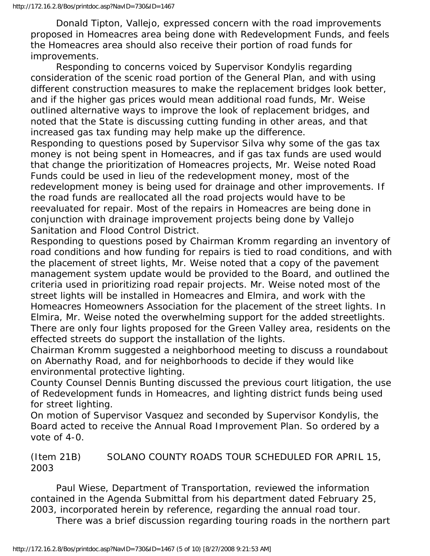Donald Tipton, Vallejo, expressed concern with the road improvements proposed in Homeacres area being done with Redevelopment Funds, and feels the Homeacres area should also receive their portion of road funds for improvements.

 Responding to concerns voiced by Supervisor Kondylis regarding consideration of the scenic road portion of the General Plan, and with using different construction measures to make the replacement bridges look better, and if the higher gas prices would mean additional road funds, Mr. Weise outlined alternative ways to improve the look of replacement bridges, and noted that the State is discussing cutting funding in other areas, and that increased gas tax funding may help make up the difference.

Responding to questions posed by Supervisor Silva why some of the gas tax money is not being spent in Homeacres, and if gas tax funds are used would that change the prioritization of Homeacres projects, Mr. Weise noted Road Funds could be used in lieu of the redevelopment money, most of the redevelopment money is being used for drainage and other improvements. If the road funds are reallocated all the road projects would have to be reevaluated for repair. Most of the repairs in Homeacres are being done in conjunction with drainage improvement projects being done by Vallejo Sanitation and Flood Control District.

Responding to questions posed by Chairman Kromm regarding an inventory of road conditions and how funding for repairs is tied to road conditions, and with the placement of street lights, Mr. Weise noted that a copy of the pavement management system update would be provided to the Board, and outlined the criteria used in prioritizing road repair projects. Mr. Weise noted most of the street lights will be installed in Homeacres and Elmira, and work with the Homeacres Homeowners Association for the placement of the street lights. In Elmira, Mr. Weise noted the overwhelming support for the added streetlights. There are only four lights proposed for the Green Valley area, residents on the effected streets do support the installation of the lights.

Chairman Kromm suggested a neighborhood meeting to discuss a roundabout on Abernathy Road, and for neighborhoods to decide if they would like environmental protective lighting.

County Counsel Dennis Bunting discussed the previous court litigation, the use of Redevelopment funds in Homeacres, and lighting district funds being used for street lighting.

On motion of Supervisor Vasquez and seconded by Supervisor Kondylis, the Board acted to receive the Annual Road Improvement Plan. So ordered by a vote of 4-0.

(Item 21B) SOLANO COUNTY ROADS TOUR SCHEDULED FOR APRIL 15, 2003

 Paul Wiese, Department of Transportation, reviewed the information contained in the Agenda Submittal from his department dated February 25, 2003, incorporated herein by reference, regarding the annual road tour.

There was a brief discussion regarding touring roads in the northern part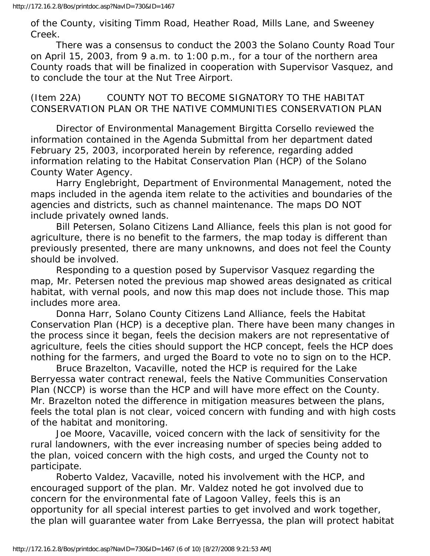of the County, visiting Timm Road, Heather Road, Mills Lane, and Sweeney Creek.

 There was a consensus to conduct the 2003 the Solano County Road Tour on April 15, 2003, from 9 a.m. to 1:00 p.m., for a tour of the northern area County roads that will be finalized in cooperation with Supervisor Vasquez, and to conclude the tour at the Nut Tree Airport.

(Item 22A) COUNTY NOT TO BECOME SIGNATORY TO THE HABITAT CONSERVATION PLAN OR THE NATIVE COMMUNITIES CONSERVATION PLAN

 Director of Environmental Management Birgitta Corsello reviewed the information contained in the Agenda Submittal from her department dated February 25, 2003, incorporated herein by reference, regarding added information relating to the Habitat Conservation Plan (HCP) of the Solano County Water Agency.

 Harry Englebright, Department of Environmental Management, noted the maps included in the agenda item relate to the activities and boundaries of the agencies and districts, such as channel maintenance. The maps DO NOT include privately owned lands.

 Bill Petersen, Solano Citizens Land Alliance, feels this plan is not good for agriculture, there is no benefit to the farmers, the map today is different than previously presented, there are many unknowns, and does not feel the County should be involved.

 Responding to a question posed by Supervisor Vasquez regarding the map, Mr. Petersen noted the previous map showed areas designated as critical habitat, with vernal pools, and now this map does not include those. This map includes more area.

 Donna Harr, Solano County Citizens Land Alliance, feels the Habitat Conservation Plan (HCP) is a deceptive plan. There have been many changes in the process since it began, feels the decision makers are not representative of agriculture, feels the cities should support the HCP concept, feels the HCP does nothing for the farmers, and urged the Board to vote no to sign on to the HCP.

 Bruce Brazelton, Vacaville, noted the HCP is required for the Lake Berryessa water contract renewal, feels the Native Communities Conservation Plan (NCCP) is worse than the HCP and will have more effect on the County. Mr. Brazelton noted the difference in mitigation measures between the plans, feels the total plan is not clear, voiced concern with funding and with high costs of the habitat and monitoring.

 Joe Moore, Vacaville, voiced concern with the lack of sensitivity for the rural landowners, with the ever increasing number of species being added to the plan, voiced concern with the high costs, and urged the County not to participate.

 Roberto Valdez, Vacaville, noted his involvement with the HCP, and encouraged support of the plan. Mr. Valdez noted he got involved due to concern for the environmental fate of Lagoon Valley, feels this is an opportunity for all special interest parties to get involved and work together, the plan will guarantee water from Lake Berryessa, the plan will protect habitat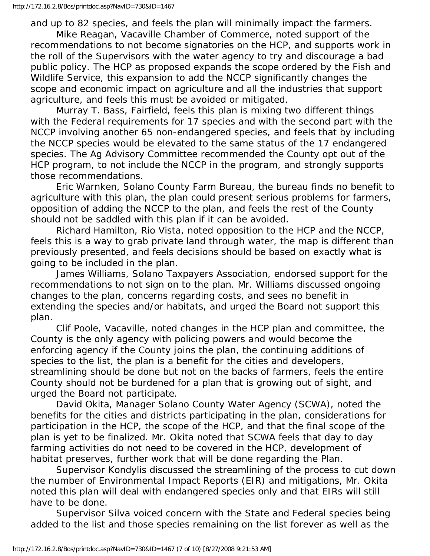and up to 82 species, and feels the plan will minimally impact the farmers. Mike Reagan, Vacaville Chamber of Commerce, noted support of the recommendations to not become signatories on the HCP, and supports work in the roll of the Supervisors with the water agency to try and discourage a bad public policy. The HCP as proposed expands the scope ordered by the Fish and Wildlife Service, this expansion to add the NCCP significantly changes the scope and economic impact on agriculture and all the industries that support agriculture, and feels this must be avoided or mitigated.

 Murray T. Bass, Fairfield, feels this plan is mixing two different things with the Federal requirements for 17 species and with the second part with the NCCP involving another 65 non-endangered species, and feels that by including the NCCP species would be elevated to the same status of the 17 endangered species. The Ag Advisory Committee recommended the County opt out of the HCP program, to not include the NCCP in the program, and strongly supports those recommendations.

 Eric Warnken, Solano County Farm Bureau, the bureau finds no benefit to agriculture with this plan, the plan could present serious problems for farmers, opposition of adding the NCCP to the plan, and feels the rest of the County should not be saddled with this plan if it can be avoided.

 Richard Hamilton, Rio Vista, noted opposition to the HCP and the NCCP, feels this is a way to grab private land through water, the map is different than previously presented, and feels decisions should be based on exactly what is going to be included in the plan.

 James Williams, Solano Taxpayers Association, endorsed support for the recommendations to not sign on to the plan. Mr. Williams discussed ongoing changes to the plan, concerns regarding costs, and sees no benefit in extending the species and/or habitats, and urged the Board not support this plan.

 Clif Poole, Vacaville, noted changes in the HCP plan and committee, the County is the only agency with policing powers and would become the enforcing agency if the County joins the plan, the continuing additions of species to the list, the plan is a benefit for the cities and developers, streamlining should be done but not on the backs of farmers, feels the entire County should not be burdened for a plan that is growing out of sight, and urged the Board not participate.

 David Okita, Manager Solano County Water Agency (SCWA), noted the benefits for the cities and districts participating in the plan, considerations for participation in the HCP, the scope of the HCP, and that the final scope of the plan is yet to be finalized. Mr. Okita noted that SCWA feels that day to day farming activities do not need to be covered in the HCP, development of habitat preserves, further work that will be done regarding the Plan.

 Supervisor Kondylis discussed the streamlining of the process to cut down the number of Environmental Impact Reports (EIR) and mitigations, Mr. Okita noted this plan will deal with endangered species only and that EIRs will still have to be done.

 Supervisor Silva voiced concern with the State and Federal species being added to the list and those species remaining on the list forever as well as the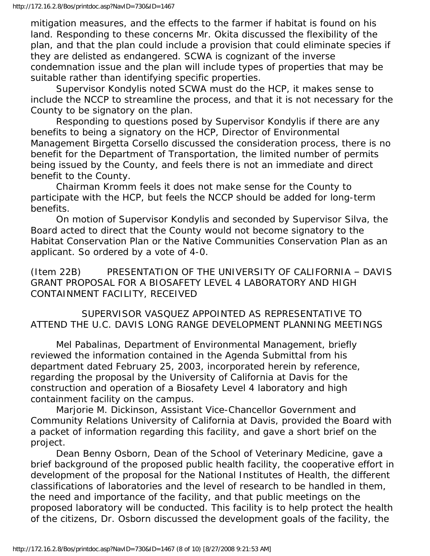mitigation measures, and the effects to the farmer if habitat is found on his land. Responding to these concerns Mr. Okita discussed the flexibility of the plan, and that the plan could include a provision that could eliminate species if they are delisted as endangered. SCWA is cognizant of the inverse condemnation issue and the plan will include types of properties that may be suitable rather than identifying specific properties.

 Supervisor Kondylis noted SCWA must do the HCP, it makes sense to include the NCCP to streamline the process, and that it is not necessary for the County to be signatory on the plan.

 Responding to questions posed by Supervisor Kondylis if there are any benefits to being a signatory on the HCP, Director of Environmental Management Birgetta Corsello discussed the consideration process, there is no benefit for the Department of Transportation, the limited number of permits being issued by the County, and feels there is not an immediate and direct benefit to the County.

 Chairman Kromm feels it does not make sense for the County to participate with the HCP, but feels the NCCP should be added for long-term benefits.

 On motion of Supervisor Kondylis and seconded by Supervisor Silva, the Board acted to direct that the County would not become signatory to the Habitat Conservation Plan or the Native Communities Conservation Plan as an applicant. So ordered by a vote of 4-0.

(Item 22B) PRESENTATION OF THE UNIVERSITY OF CALIFORNIA – DAVIS GRANT PROPOSAL FOR A BIOSAFETY LEVEL 4 LABORATORY AND HIGH CONTAINMENT FACILITY, RECEIVED

 SUPERVISOR VASQUEZ APPOINTED AS REPRESENTATIVE TO ATTEND THE U.C. DAVIS LONG RANGE DEVELOPMENT PLANNING MEETINGS

 Mel Pabalinas, Department of Environmental Management, briefly reviewed the information contained in the Agenda Submittal from his department dated February 25, 2003, incorporated herein by reference, regarding the proposal by the University of California at Davis for the construction and operation of a Biosafety Level 4 laboratory and high containment facility on the campus.

 Marjorie M. Dickinson, Assistant Vice-Chancellor Government and Community Relations University of California at Davis, provided the Board with a packet of information regarding this facility, and gave a short brief on the project.

 Dean Benny Osborn, Dean of the School of Veterinary Medicine, gave a brief background of the proposed public health facility, the cooperative effort in development of the proposal for the National Institutes of Health, the different classifications of laboratories and the level of research to be handled in them, the need and importance of the facility, and that public meetings on the proposed laboratory will be conducted. This facility is to help protect the health of the citizens, Dr. Osborn discussed the development goals of the facility, the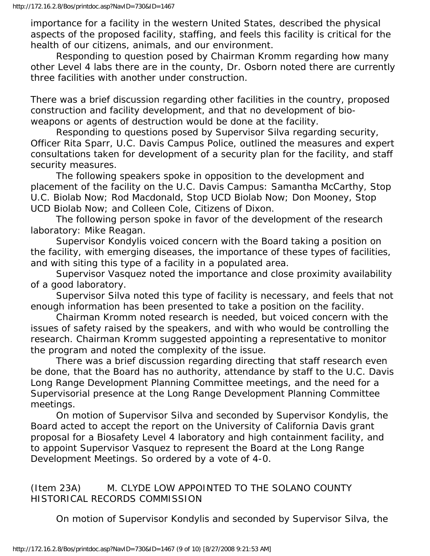importance for a facility in the western United States, described the physical aspects of the proposed facility, staffing, and feels this facility is critical for the health of our citizens, animals, and our environment.

 Responding to question posed by Chairman Kromm regarding how many other Level 4 labs there are in the county, Dr. Osborn noted there are currently three facilities with another under construction.

There was a brief discussion regarding other facilities in the country, proposed construction and facility development, and that no development of bioweapons or agents of destruction would be done at the facility.

 Responding to questions posed by Supervisor Silva regarding security, Officer Rita Sparr, U.C. Davis Campus Police, outlined the measures and expert consultations taken for development of a security plan for the facility, and staff security measures.

 The following speakers spoke in opposition to the development and placement of the facility on the U.C. Davis Campus: Samantha McCarthy, Stop U.C. Biolab Now; Rod Macdonald, Stop UCD Biolab Now; Don Mooney, Stop UCD Biolab Now; and Colleen Cole, Citizens of Dixon.

 The following person spoke in favor of the development of the research laboratory: Mike Reagan.

 Supervisor Kondylis voiced concern with the Board taking a position on the facility, with emerging diseases, the importance of these types of facilities, and with siting this type of a facility in a populated area.

 Supervisor Vasquez noted the importance and close proximity availability of a good laboratory.

 Supervisor Silva noted this type of facility is necessary, and feels that not enough information has been presented to take a position on the facility.

 Chairman Kromm noted research is needed, but voiced concern with the issues of safety raised by the speakers, and with who would be controlling the research. Chairman Kromm suggested appointing a representative to monitor the program and noted the complexity of the issue.

 There was a brief discussion regarding directing that staff research even be done, that the Board has no authority, attendance by staff to the U.C. Davis Long Range Development Planning Committee meetings, and the need for a Supervisorial presence at the Long Range Development Planning Committee meetings.

 On motion of Supervisor Silva and seconded by Supervisor Kondylis, the Board acted to accept the report on the University of California Davis grant proposal for a Biosafety Level 4 laboratory and high containment facility, and to appoint Supervisor Vasquez to represent the Board at the Long Range Development Meetings. So ordered by a vote of 4-0.

(Item 23A) M. CLYDE LOW APPOINTED TO THE SOLANO COUNTY HISTORICAL RECORDS COMMISSION

On motion of Supervisor Kondylis and seconded by Supervisor Silva, the